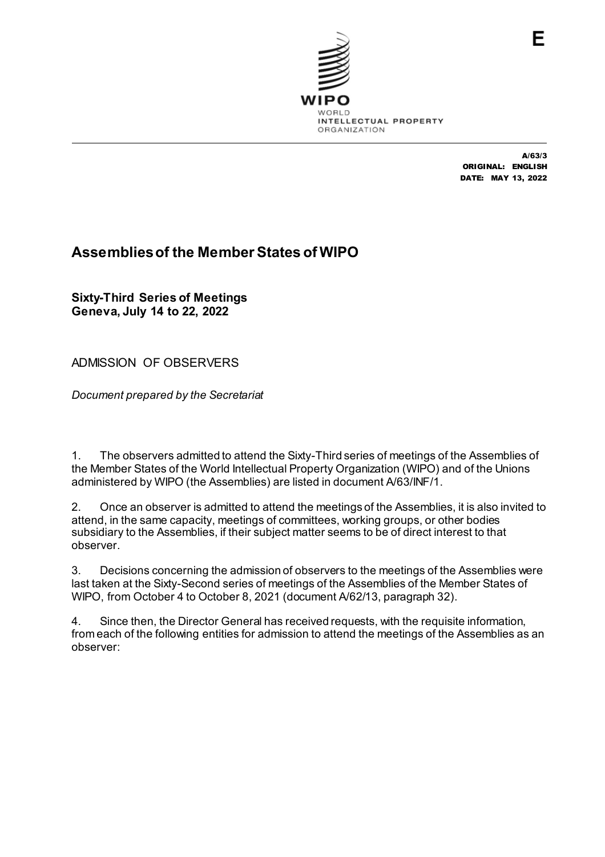

A/63/3 ORIGINAL: ENGLISH DATE: MAY 13, 2022

# **Assemblies of the Member States of WIPO**

**Sixty-Third Series of Meetings Geneva, July 14 to 22, 2022**

ADMISSION OF OBSERVERS

*Document prepared by the Secretariat*

1. The observers admitted to attend the Sixty-Third series of meetings of the Assemblies of the Member States of the World Intellectual Property Organization (WIPO) and of the Unions administered by WIPO (the Assemblies) are listed in document A/63/INF/1.

2. Once an observer is admitted to attend the meetings of the Assemblies, it is also invited to attend, in the same capacity, meetings of committees, working groups, or other bodies subsidiary to the Assemblies, if their subject matter seems to be of direct interest to that observer.

3. Decisions concerning the admission of observers to the meetings of the Assemblies were last taken at the Sixty-Second series of meetings of the Assemblies of the Member States of WIPO, from October 4 to October 8, 2021 (document A/62/13, paragraph 32).

4. Since then, the Director General has received requests, with the requisite information, from each of the following entities for admission to attend the meetings of the Assemblies as an observer: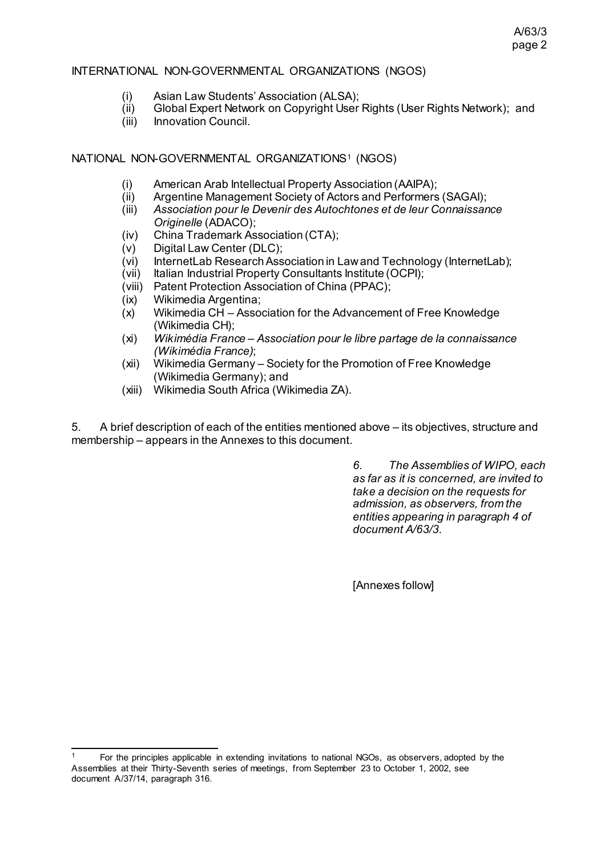# A/63/3 page 2

## INTERNATIONAL NON-GOVERNMENTAL ORGANIZATIONS (NGOS)

- (i) Asian Law Students' Association (ALSA);
- (ii) Global Expert Network on Copyright User Rights (User Rights Network); and<br>(iii) Innovation Council.
- Innovation Council.

# NATIONAL NON-GOVERNMENTAL ORGANIZATIONS<sup>[1](#page-1-0)</sup> (NGOS)

- (i) American Arab Intellectual Property Association (AAIPA);
- (ii) Argentine Management Society of Actors and Performers (SAGAI);<br>(iii) Association pour le Devenir des Autochtones et de leur Connaissan
- (iii) *Association pour le Devenir des Autochtones et de leur Connaissance Originelle* (ADACO);
- (iv) China Trademark Association (CTA);
- (v) Digital Law Center (DLC);
- (vi) InternetLab Research Association in Law and Technology (InternetLab);
- (vii) Italian Industrial Property Consultants Institute (OCPI);<br>(viii) Patent Protection Association of China (PPAC);
- Patent Protection Association of China (PPAC);
- (ix) Wikimedia Argentina;
- Wikimedia CH Association for the Advancement of Free Knowledge (Wikimedia CH);
- (xi) *Wikimédia France – Association pour le libre partage de la connaissance (Wikimédia France)*;
- (xii) Wikimedia Germany Society for the Promotion of Free Knowledge (Wikimedia Germany); and
- (xiii) Wikimedia South Africa (Wikimedia ZA).

5. A brief description of each of the entities mentioned above – its objectives, structure and membership – appears in the Annexes to this document.

> *6. The Assemblies of WIPO, each as far as it is concerned, are invited to take a decision on the requests for admission, as observers, from the entities appearing in paragraph 4 of document A/63/3.*

[Annexes follow]

<span id="page-1-0"></span> <sup>1</sup> For the principles applicable in extending invitations to national NGOs, as observers, adopted by the Assemblies at their Thirty-Seventh series of meetings, from September 23 to October 1, 2002, see document A/37/14, paragraph 316.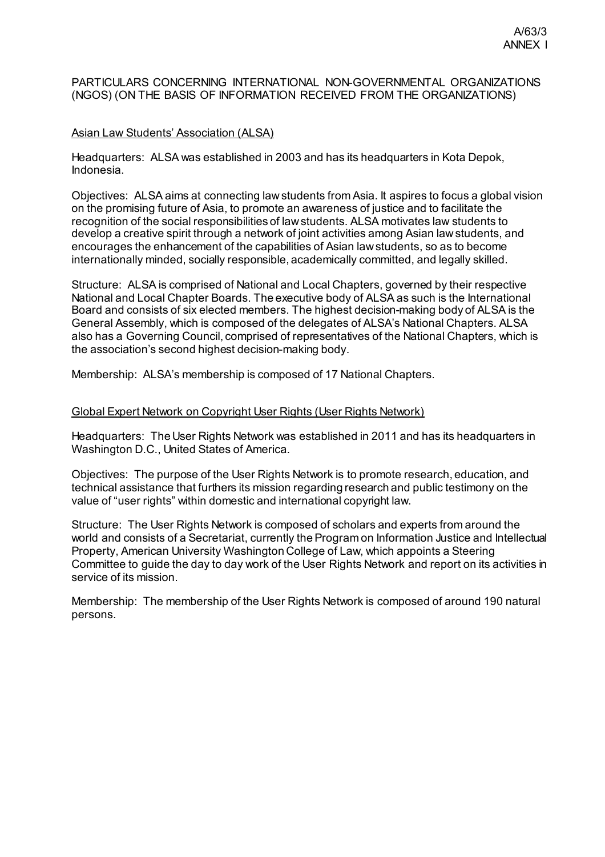## PARTICULARS CONCERNING INTERNATIONAL NON-GOVERNMENTAL ORGANIZATIONS (NGOS) (ON THE BASIS OF INFORMATION RECEIVED FROM THE ORGANIZATIONS)

## Asian Law Students' Association (ALSA)

Headquarters: ALSA was established in 2003 and has its headquarters in Kota Depok, Indonesia.

Objectives: ALSA aims at connecting law students from Asia. It aspires to focus a global vision on the promising future of Asia, to promote an awareness of justice and to facilitate the recognition of the social responsibilities of law students. ALSA motivates law students to develop a creative spirit through a network of joint activities among Asian law students, and encourages the enhancement of the capabilities of Asian law students, so as to become internationally minded, socially responsible, academically committed, and legally skilled.

Structure: ALSA is comprised of National and Local Chapters, governed by their respective National and Local Chapter Boards. The executive body of ALSA as such is the International Board and consists of six elected members. The highest decision-making body of ALSA is the General Assembly, which is composed of the delegates of ALSA's National Chapters. ALSA also has a Governing Council, comprised of representatives of the National Chapters, which is the association's second highest decision-making body.

Membership: ALSA's membership is composed of 17 National Chapters.

#### Global Expert Network on Copyright User Rights (User Rights Network)

Headquarters: The User Rights Network was established in 2011 and has its headquarters in Washington D.C., United States of America.

Objectives: The purpose of the User Rights Network is to promote research, education, and technical assistance that furthers its mission regarding research and public testimony on the value of "user rights" within domestic and international copyright law.

Structure: The User Rights Network is composed of scholars and experts from around the world and consists of a Secretariat, currently the Program on Information Justice and Intellectual Property, American University Washington College of Law, which appoints a Steering Committee to guide the day to day work of the User Rights Network and report on its activities in service of its mission.

Membership: The membership of the User Rights Network is composed of around 190 natural persons.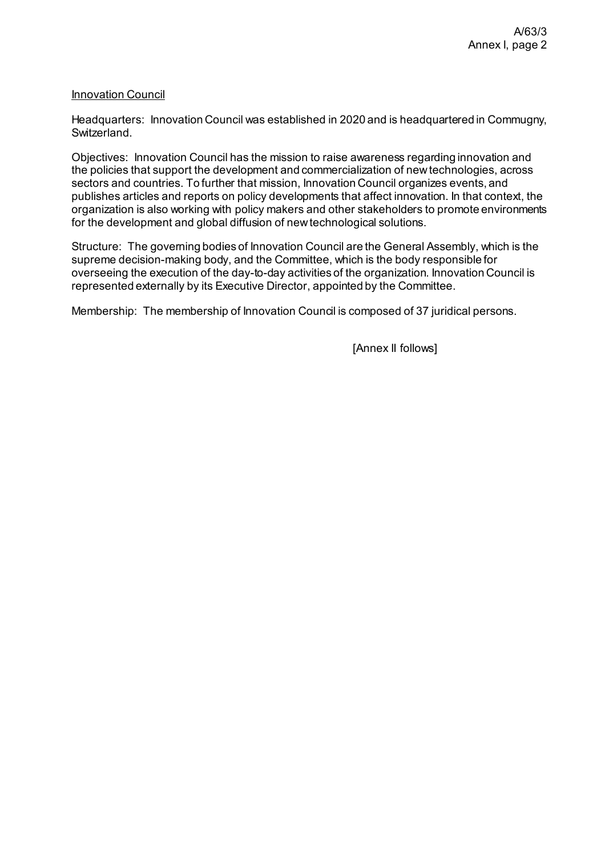## **Innovation Council**

Headquarters: Innovation Council was established in 2020 and is headquartered in Commugny, Switzerland.

Objectives: Innovation Council has the mission to raise awareness regarding innovation and the policies that support the development and commercialization of new technologies, across sectors and countries. To further that mission, Innovation Council organizes events, and publishes articles and reports on policy developments that affect innovation. In that context, the organization is also working with policy makers and other stakeholders to promote environments for the development and global diffusion of new technological solutions.

Structure: The governing bodies of Innovation Council are the General Assembly, which is the supreme decision-making body, and the Committee, which is the body responsible for overseeing the execution of the day-to-day activities of the organization. Innovation Council is represented externally by its Executive Director, appointed by the Committee.

Membership: The membership of Innovation Council is composed of 37 juridical persons.

[Annex II follows]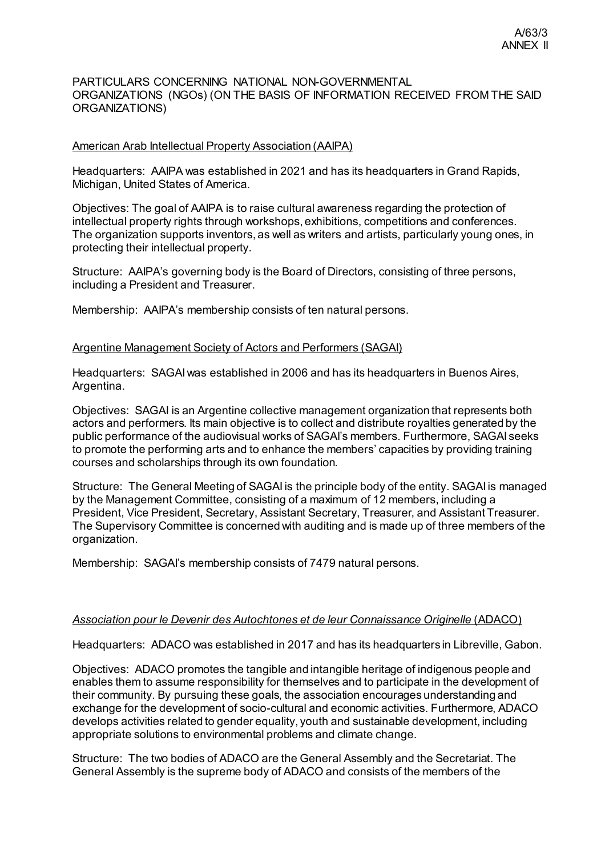#### PARTICULARS CONCERNING NATIONAL NON-GOVERNMENTAL ORGANIZATIONS (NGOs) (ON THE BASIS OF INFORMATION RECEIVED FROM THE SAID ORGANIZATIONS)

#### American Arab Intellectual Property Association (AAIPA)

Headquarters: AAIPA was established in 2021 and has its headquarters in Grand Rapids, Michigan, United States of America.

Objectives: The goal of AAIPA is to raise cultural awareness regarding the protection of intellectual property rights through workshops, exhibitions, competitions and conferences. The organization supports inventors, as well as writers and artists, particularly young ones, in protecting their intellectual property.

Structure: AAIPA's governing body is the Board of Directors, consisting of three persons, including a President and Treasurer.

Membership: AAIPA's membership consists of ten natural persons.

#### Argentine Management Society of Actors and Performers (SAGAI)

Headquarters: SAGAI was established in 2006 and has its headquarters in Buenos Aires, Argentina.

Objectives: SAGAI is an Argentine collective management organization that represents both actors and performers. Its main objective is to collect and distribute royalties generated by the public performance of the audiovisual works of SAGAI's members. Furthermore, SAGAI seeks to promote the performing arts and to enhance the members' capacities by providing training courses and scholarships through its own foundation.

Structure: The General Meeting of SAGAI is the principle body of the entity. SAGAI is managed by the Management Committee, consisting of a maximum of 12 members, including a President, Vice President, Secretary, Assistant Secretary, Treasurer, and Assistant Treasurer. The Supervisory Committee is concerned with auditing and is made up of three members of the organization.

Membership: SAGAI's membership consists of 7479 natural persons.

#### *Association pour le Devenir des Autochtones et de leur Connaissance Originelle* (ADACO)

Headquarters: ADACO was established in 2017 and has its headquarters in Libreville, Gabon.

Objectives: ADACO promotes the tangible and intangible heritage of indigenous people and enables them to assume responsibility for themselves and to participate in the development of their community. By pursuing these goals, the association encourages understanding and exchange for the development of socio-cultural and economic activities. Furthermore, ADACO develops activities related to gender equality, youth and sustainable development, including appropriate solutions to environmental problems and climate change.

Structure: The two bodies of ADACO are the General Assembly and the Secretariat. The General Assembly is the supreme body of ADACO and consists of the members of the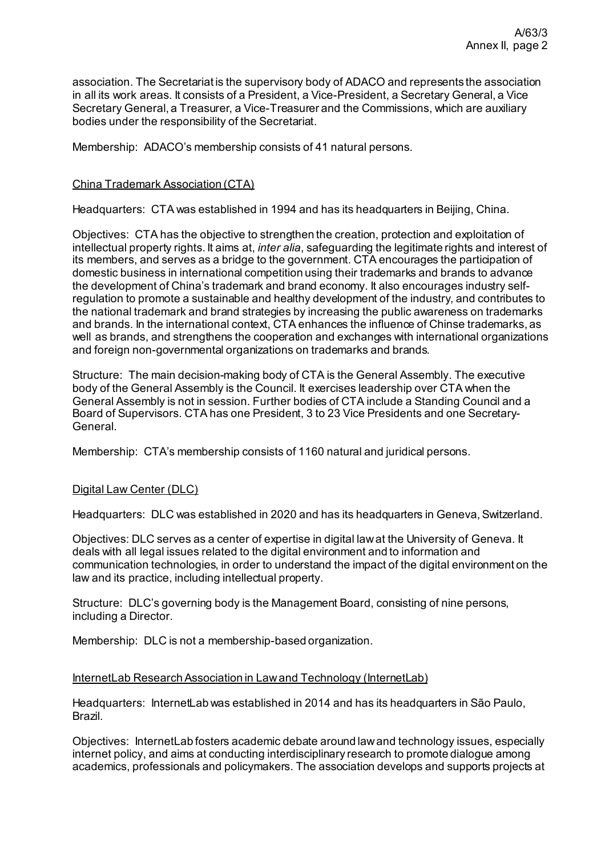association. The Secretariat is the supervisory body of ADACO and represents the association in all its work areas. It consists of a President, a Vice-President, a Secretary General, a Vice Secretary General, a Treasurer, a Vice-Treasurer and the Commissions, which are auxiliary bodies under the responsibility of the Secretariat.

Membership: ADACO's membership consists of 41 natural persons.

## China Trademark Association (CTA)

Headquarters: CTA was established in 1994 and has its headquarters in Beijing, China.

Objectives: CTA has the objective to strengthen the creation, protection and exploitation of intellectual property rights. It aims at, *inter alia*, safeguarding the legitimate rights and interest of its members, and serves as a bridge to the government. CTA encourages the participation of domestic business in international competition using their trademarks and brands to advance the development of China's trademark and brand economy. It also encourages industry selfregulation to promote a sustainable and healthy development of the industry, and contributes to the national trademark and brand strategies by increasing the public awareness on trademarks and brands. In the international context, CTA enhances the influence of Chinse trademarks, as well as brands, and strengthens the cooperation and exchanges with international organizations and foreign non-governmental organizations on trademarks and brands.

Structure: The main decision-making body of CTA is the General Assembly. The executive body of the General Assembly is the Council. It exercises leadership over CTA when the General Assembly is not in session. Further bodies of CTA include a Standing Council and a Board of Supervisors. CTA has one President, 3 to 23 Vice Presidents and one Secretary-General.

Membership: CTA's membership consists of 1160 natural and juridical persons.

#### Digital Law Center (DLC)

Headquarters: DLC was established in 2020 and has its headquarters in Geneva, Switzerland.

Objectives: DLC serves as a center of expertise in digital law at the University of Geneva. It deals with all legal issues related to the digital environment and to information and communication technologies, in order to understand the impact of the digital environment on the law and its practice, including intellectual property.

Structure: DLC's governing body is the Management Board, consisting of nine persons, including a Director.

Membership: DLC is not a membership-based organization.

#### InternetLab Research Association in Law and Technology (InternetLab)

Headquarters: Internet Lab was established in 2014 and has its headquarters in São Paulo, Brazil.

Objectives: InternetLab fosters academic debate around law and technology issues, especially internet policy, and aims at conducting interdisciplinary research to promote dialogue among academics, professionals and policymakers. The association develops and supports projects at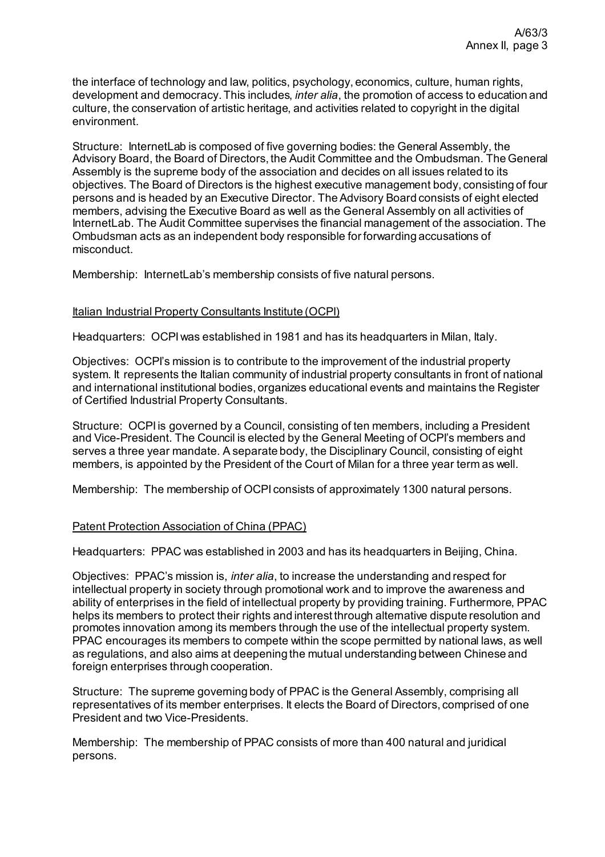the interface of technology and law, politics, psychology, economics, culture, human rights, development and democracy. This includes, *inter alia*, the promotion of access to education and culture, the conservation of artistic heritage, and activities related to copyright in the digital environment.

Structure: InternetLab is composed of five governing bodies: the General Assembly, the Advisory Board, the Board of Directors, the Audit Committee and the Ombudsman. The General Assembly is the supreme body of the association and decides on all issues related to its objectives. The Board of Directors is the highest executive management body, consisting of four persons and is headed by an Executive Director. The Advisory Board consists of eight elected members, advising the Executive Board as well as the General Assembly on all activities of InternetLab. The Audit Committee supervises the financial management of the association. The Ombudsman acts as an independent body responsible for forwarding accusations of misconduct.

Membership: InternetLab's membership consists of five natural persons.

## Italian Industrial Property Consultants Institute (OCPI)

Headquarters: OCPI was established in 1981 and has its headquarters in Milan, Italy.

Objectives: OCPI's mission is to contribute to the improvement of the industrial property system. It represents the Italian community of industrial property consultants in front of national and international institutional bodies, organizes educational events and maintains the Register of Certified Industrial Property Consultants.

Structure: OCPI is governed by a Council, consisting of ten members, including a President and Vice-President. The Council is elected by the General Meeting of OCPI's members and serves a three year mandate. A separate body, the Disciplinary Council, consisting of eight members, is appointed by the President of the Court of Milan for a three year term as well.

Membership: The membership of OCPI consists of approximately 1300 natural persons.

#### Patent Protection Association of China (PPAC)

Headquarters: PPAC was established in 2003 and has its headquarters in Beijing, China.

Objectives: PPAC's mission is, *inter alia*, to increase the understanding and respect for intellectual property in society through promotional work and to improve the awareness and ability of enterprises in the field of intellectual property by providing training. Furthermore, PPAC helps its members to protect their rights and interest through alternative dispute resolution and promotes innovation among its members through the use of the intellectual property system. PPAC encourages its members to compete within the scope permitted by national laws, as well as regulations, and also aims at deepening the mutual understanding between Chinese and foreign enterprises through cooperation.

Structure: The supreme governing body of PPAC is the General Assembly, comprising all representatives of its member enterprises. It elects the Board of Directors, comprised of one President and two Vice-Presidents.

Membership: The membership of PPAC consists of more than 400 natural and juridical persons.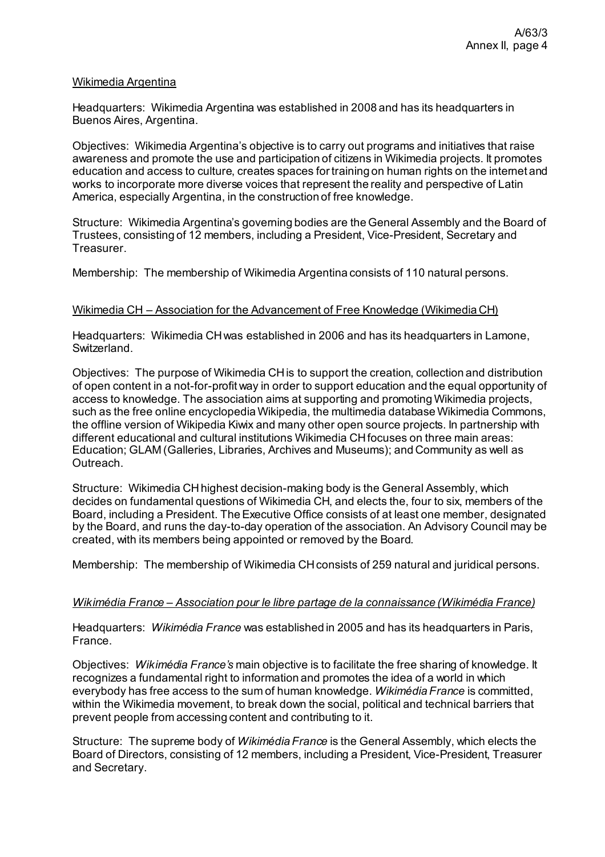#### Wikimedia Argentina

Headquarters: Wikimedia Argentina was established in 2008 and has its headquarters in Buenos Aires, Argentina.

Objectives: Wikimedia Argentina's objective is to carry out programs and initiatives that raise awareness and promote the use and participation of citizens in Wikimedia projects. It promotes education and access to culture, creates spaces for training on human rights on the internet and works to incorporate more diverse voices that represent the reality and perspective of Latin America, especially Argentina, in the construction of free knowledge.

Structure: Wikimedia Argentina's governing bodies are the General Assembly and the Board of Trustees, consisting of 12 members, including a President, Vice-President, Secretary and **Treasurer** 

Membership: The membership of Wikimedia Argentina consists of 110 natural persons.

#### Wikimedia CH – Association for the Advancement of Free Knowledge (Wikimedia CH)

Headquarters: Wikimedia CH was established in 2006 and has its headquarters in Lamone, Switzerland.

Objectives: The purpose of Wikimedia CH is to support the creation, collection and distribution of open content in a not-for-profit way in order to support education and the equal opportunity of access to knowledge. The association aims at supporting and promoting Wikimedia projects, such as the free online encyclopedia Wikipedia, the multimedia database Wikimedia Commons, the offline version of Wikipedia Kiwix and many other open source projects. In partnership with different educational and cultural institutions Wikimedia CH focuses on three main areas: Education; GLAM (Galleries, Libraries, Archives and Museums); and Community as well as Outreach.

Structure: Wikimedia CH highest decision-making body is the General Assembly, which decides on fundamental questions of Wikimedia CH, and elects the, four to six, members of the Board, including a President. The Executive Office consists of at least one member, designated by the Board, and runs the day-to-day operation of the association. An Advisory Council may be created, with its members being appointed or removed by the Board.

Membership: The membership of Wikimedia CH consists of 259 natural and juridical persons.

## *Wikimédia France – Association pour le libre partage de la connaissance (Wikimédia France)*

Headquarters: *Wikimédia France* was established in 2005 and has its headquarters in Paris, France.

Objectives: *Wikimédia France's* main objective is to facilitate the free sharing of knowledge. It recognizes a fundamental right to information and promotes the idea of a world in which everybody has free access to the sum of human knowledge. *Wikimédia France* is committed, within the Wikimedia movement, to break down the social, political and technical barriers that prevent people from accessing content and contributing to it.

Structure: The supreme body of *Wikimédia France* is the General Assembly, which elects the Board of Directors, consisting of 12 members, including a President, Vice-President, Treasurer and Secretary.